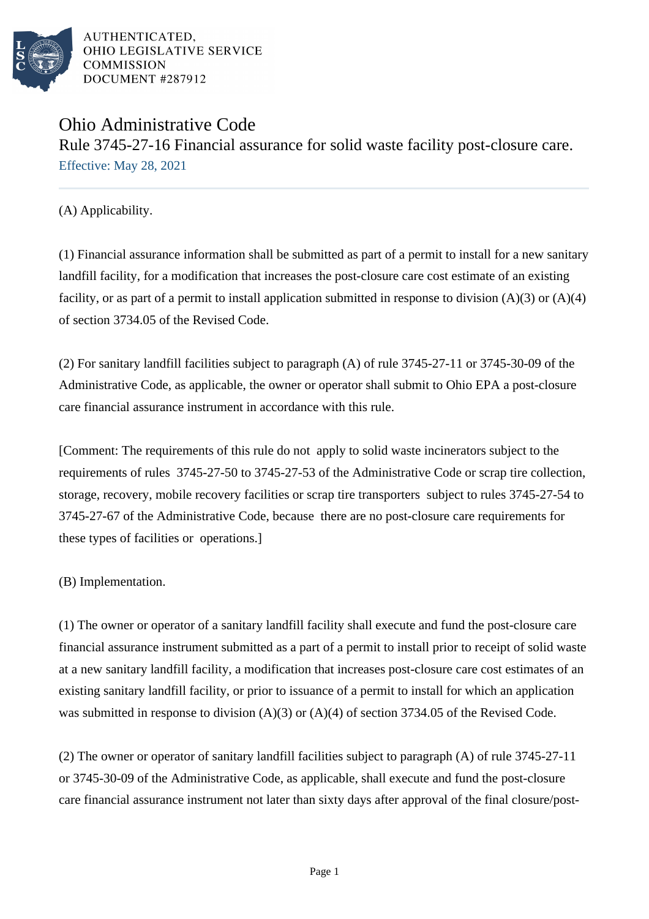

# Ohio Administrative Code Rule 3745-27-16 Financial assurance for solid waste facility post-closure care. Effective: May 28, 2021

(A) Applicability.

(1) Financial assurance information shall be submitted as part of a permit to install for a new sanitary landfill facility, for a modification that increases the post-closure care cost estimate of an existing facility, or as part of a permit to install application submitted in response to division  $(A)(3)$  or  $(A)(4)$ of section 3734.05 of the Revised Code.

(2) For sanitary landfill facilities subject to paragraph (A) of rule 3745-27-11 or 3745-30-09 of the Administrative Code, as applicable, the owner or operator shall submit to Ohio EPA a post-closure care financial assurance instrument in accordance with this rule.

[Comment: The requirements of this rule do not apply to solid waste incinerators subject to the requirements of rules 3745-27-50 to 3745-27-53 of the Administrative Code or scrap tire collection, storage, recovery, mobile recovery facilities or scrap tire transporters subject to rules 3745-27-54 to 3745-27-67 of the Administrative Code, because there are no post-closure care requirements for these types of facilities or operations.]

(B) Implementation.

(1) The owner or operator of a sanitary landfill facility shall execute and fund the post-closure care financial assurance instrument submitted as a part of a permit to install prior to receipt of solid waste at a new sanitary landfill facility, a modification that increases post-closure care cost estimates of an existing sanitary landfill facility, or prior to issuance of a permit to install for which an application was submitted in response to division  $(A)(3)$  or  $(A)(4)$  of section 3734.05 of the Revised Code.

(2) The owner or operator of sanitary landfill facilities subject to paragraph (A) of rule 3745-27-11 or 3745-30-09 of the Administrative Code, as applicable, shall execute and fund the post-closure care financial assurance instrument not later than sixty days after approval of the final closure/post-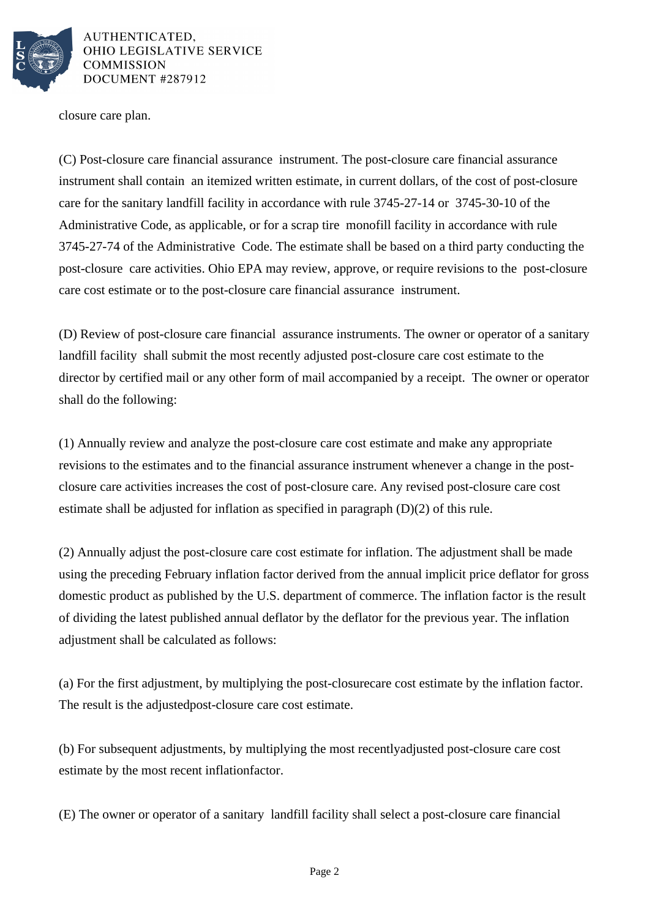

closure care plan.

(C) Post-closure care financial assurance instrument. The post-closure care financial assurance instrument shall contain an itemized written estimate, in current dollars, of the cost of post-closure care for the sanitary landfill facility in accordance with rule 3745-27-14 or 3745-30-10 of the Administrative Code, as applicable, or for a scrap tire monofill facility in accordance with rule 3745-27-74 of the Administrative Code. The estimate shall be based on a third party conducting the post-closure care activities. Ohio EPA may review, approve, or require revisions to the post-closure care cost estimate or to the post-closure care financial assurance instrument.

(D) Review of post-closure care financial assurance instruments. The owner or operator of a sanitary landfill facility shall submit the most recently adjusted post-closure care cost estimate to the director by certified mail or any other form of mail accompanied by a receipt. The owner or operator shall do the following:

(1) Annually review and analyze the post-closure care cost estimate and make any appropriate revisions to the estimates and to the financial assurance instrument whenever a change in the postclosure care activities increases the cost of post-closure care. Any revised post-closure care cost estimate shall be adjusted for inflation as specified in paragraph  $(D)(2)$  of this rule.

(2) Annually adjust the post-closure care cost estimate for inflation. The adjustment shall be made using the preceding February inflation factor derived from the annual implicit price deflator for gross domestic product as published by the U.S. department of commerce. The inflation factor is the result of dividing the latest published annual deflator by the deflator for the previous year. The inflation adjustment shall be calculated as follows:

(a) For the first adjustment, by multiplying the post-closure care cost estimate by the inflation factor. The result is the adjusted post-closure care cost estimate.

(b) For subsequent adjustments, by multiplying the most recently adjusted post-closure care cost estimate by the most recent inflation factor.

(E) The owner or operator of a sanitary landfill facility shall select a post-closure care financial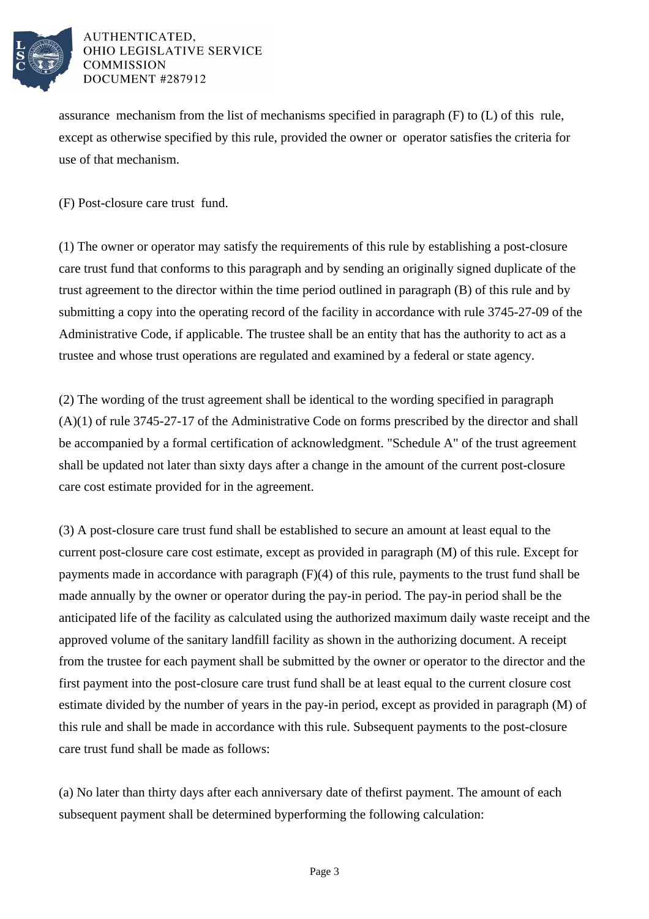

assurance mechanism from the list of mechanisms specified in paragraph (F) to (L) of this rule, except as otherwise specified by this rule, provided the owner or operator satisfies the criteria for use of that mechanism.

(F) Post-closure care trust fund.

(1) The owner or operator may satisfy the requirements of this rule by establishing a post-closure care trust fund that conforms to this paragraph and by sending an originally signed duplicate of the trust agreement to the director within the time period outlined in paragraph (B) of this rule and by submitting a copy into the operating record of the facility in accordance with rule 3745-27-09 of the Administrative Code, if applicable. The trustee shall be an entity that has the authority to act as a trustee and whose trust operations are regulated and examined by a federal or state agency.

 $(2)$  The wording of the trust agreement shall be identical to the wording specified in paragraph  $(A)(1)$  of rule 3745-27-17 of the Administrative Code on forms prescribed by the director and shall be accompanied by a formal certification of acknowledgment. "Schedule A" of the trust agreement shall be updated not later than sixty days after a change in the amount of the current post-closure care cost estimate provided for in the agreement.

(3) A post-closure care trust fund shall be established to secure an amount at least equal to the current post-closure care cost estimate, except as provided in paragraph (M) of this rule. Except for payments made in accordance with paragraph  $(F)(4)$  of this rule, payments to the trust fund shall be made annually by the owner or operator during the pay-in period. The pay-in period shall be the anticipated life of the facility as calculated using the authorized maximum daily waste receipt and the approved volume of the sanitary landfill facility as shown in the authorizing document. A receipt from the trustee for each payment shall be submitted by the owner or operator to the director and the first payment into the post-closure care trust fund shall be at least equal to the current closure cost estimate divided by the number of years in the pay-in period, except as provided in paragraph (M) of this rule and shall be made in accordance with this rule. Subsequent payments to the post-closure care trust fund shall be made as follows:

(a) No later than thirty days after each anniversary date of the first payment. The amount of each subsequent payment shall be determined by performing the following calculation: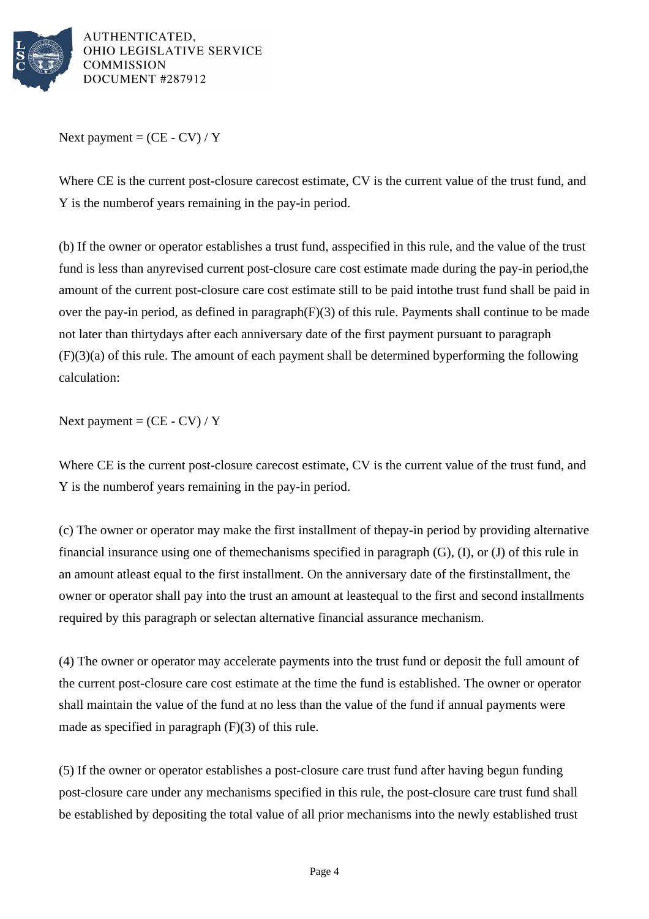

Next payment =  $(CE - CV) / Y$ 

Where CE is the current post-closure care cost estimate, CV is the current value of the trust fund, and Y is the number of years remaining in the pay-in period.

(b) If the owner or operator establishes a trust fund, as specified in this rule, and the value of the trust fund is less than any revised current post-closure care cost estimate made during the pay-in period, the amount of the current post-closure care cost estimate still to be paid into the trust fund shall be paid in over the pay-in period, as defined in paragraph  $(F)(3)$  of this rule. Payments shall continue to be made not later than thirty days after each anniversary date of the first payment pursuant to paragraph  $(F)(3)(a)$  of this rule. The amount of each payment shall be determined by performing the following calculation:

Next payment =  $(CE - CV) / Y$ 

Where CE is the current post-closure care cost estimate, CV is the current value of the trust fund, and Y is the number of years remaining in the pay-in period.

(c) The owner or operator may make the first installment of the pay-in period by providing alternative financial insurance using one of the mechanisms specified in paragraph  $(G)$ ,  $(I)$ , or  $(J)$  of this rule in an amount at least equal to the first installment. On the anniversary date of the first installment, the owner or operator shall pay into the trust an amount at least equal to the first and second installments required by this paragraph or select an alternative financial assurance mechanism.

(4) The owner or operator may accelerate payments into the trust fund or deposit the full amount of the current post-closure care cost estimate at the time the fund is established. The owner or operator shall maintain the value of the fund at no less than the value of the fund if annual payments were made as specified in paragraph  $(F)(3)$  of this rule.

(5) If the owner or operator establishes a post-closure care trust fund after having begun funding post-closure care under any mechanisms specified in this rule, the post-closure care trust fund shall be established by depositing the total value of all prior mechanisms into the newly established trust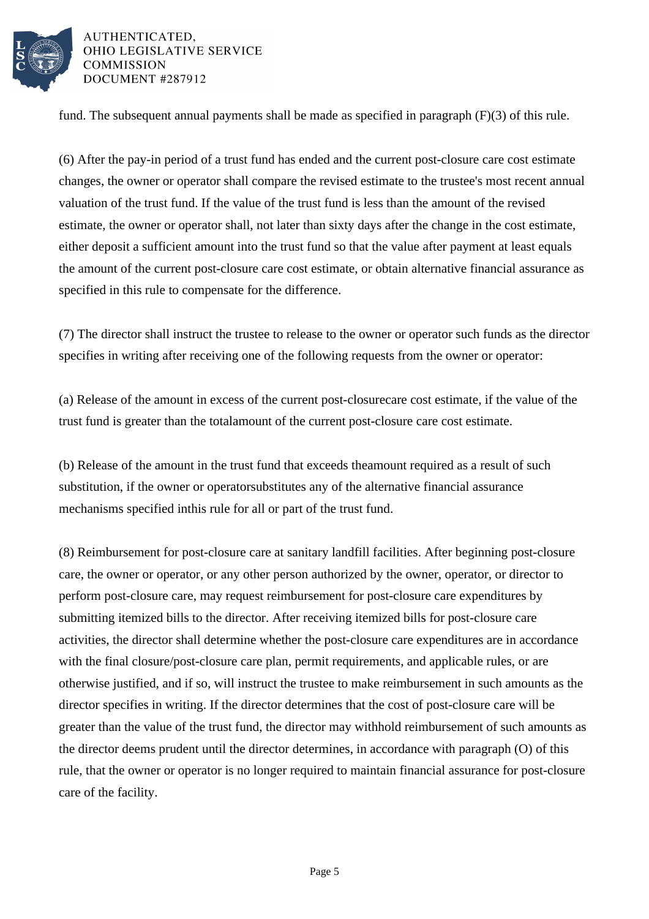

fund. The subsequent annual payments shall be made as specified in paragraph  $(F)(3)$  of this rule.

(6) After the pay-in period of a trust fund has ended and the current post-closure care cost estimate changes, the owner or operator shall compare the revised estimate to the trustee's most recent annual valuation of the trust fund. If the value of the trust fund is less than the amount of the revised estimate, the owner or operator shall, not later than sixty days after the change in the cost estimate, either deposit a sufficient amount into the trust fund so that the value after payment at least equals the amount of the current post-closure care cost estimate, or obtain alternative financial assurance as specified in this rule to compensate for the difference.

(7) The director shall instruct the trustee to release to the owner or operator such funds as the director specifies in writing after receiving one of the following requests from the owner or operator:

(a) Release of the amount in excess of the current post-closure care cost estimate, if the value of the trust fund is greater than the total amount of the current post-closure care cost estimate.

(b) Release of the amount in the trust fund that exceeds the amount required as a result of such substitution, if the owner or operator substitutes any of the alternative financial assurance mechanisms specified in this rule for all or part of the trust fund.

(8) Reimbursement for post-closure care at sanitary landfill facilities. After beginning post-closure care, the owner or operator, or any other person authorized by the owner, operator, or director to perform post-closure care, may request reimbursement for post-closure care expenditures by submitting itemized bills to the director. After receiving itemized bills for post-closure care activities, the director shall determine whether the post-closure care expenditures are in accordance with the final closure/post-closure care plan, permit requirements, and applicable rules, or are otherwise justified, and if so, will instruct the trustee to make reimbursement in such amounts as the director specifies in writing. If the director determines that the cost of post-closure care will be greater than the value of the trust fund, the director may withhold reimbursement of such amounts as the director deems prudent until the director determines, in accordance with paragraph (O) of this rule, that the owner or operator is no longer required to maintain financial assurance for post-closure care of the facility.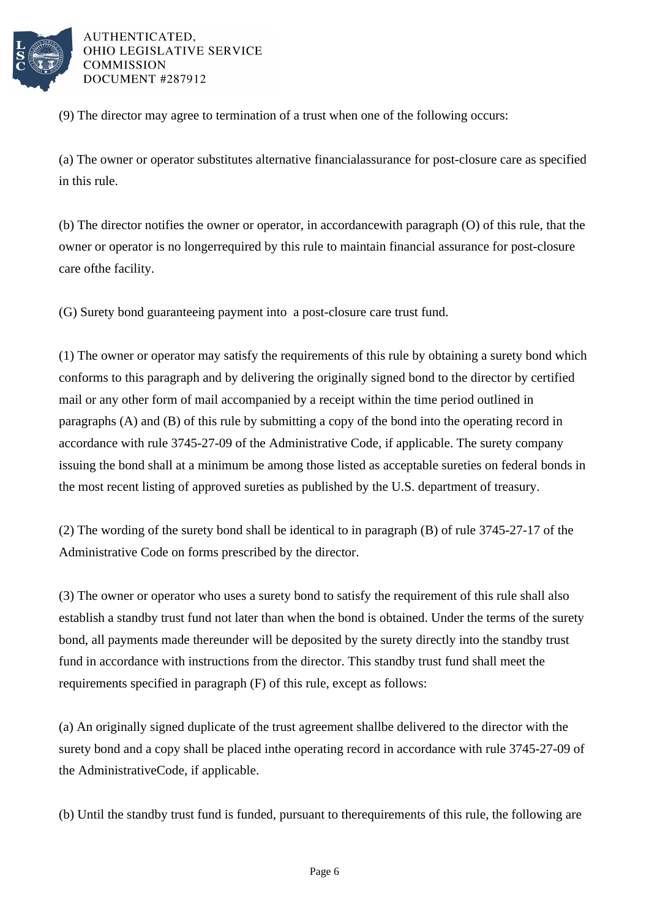

(9) The director may agree to termination of a trust when one of the following occurs:

(a) The owner or operator substitutes alternative financial assurance for post-closure care as specified in this rule.

(b) The director notifies the owner or operator, in accordance with paragraph  $(0)$  of this rule, that the owner or operator is no longer required by this rule to maintain financial assurance for post-closure care of the facility.

(G) Surety bond guaranteeing payment into a post-closure care trust fund.

(1) The owner or operator may satisfy the requirements of this rule by obtaining a surety bond which conforms to this paragraph and by delivering the originally signed bond to the director by certified mail or any other form of mail accompanied by a receipt within the time period outlined in paragraphs  $(A)$  and  $(B)$  of this rule by submitting a copy of the bond into the operating record in accordance with rule 3745-27-09 of the Administrative Code, if applicable. The surety company issuing the bond shall at a minimum be among those listed as acceptable sureties on federal bonds in the most recent listing of approved sureties as published by the U.S. department of treasury.

(2) The wording of the surety bond shall be identical to in paragraph  $(B)$  of rule 3745-27-17 of the Administrative Code on forms prescribed by the director.

(3) The owner or operator who uses a surety bond to satisfy the requirement of this rule shall also establish a standby trust fund not later than when the bond is obtained. Under the terms of the surety bond, all payments made thereunder will be deposited by the surety directly into the standby trust fund in accordance with instructions from the director. This standby trust fund shall meet the requirements specified in paragraph (F) of this rule, except as follows:

(a) An originally signed duplicate of the trust agreement shall be delivered to the director with the surety bond and a copy shall be placed in the operating record in accordance with rule 3745-27-09 of the Administrative Code, if applicable.

(b) Until the standby trust fund is funded, pursuant to the requirements of this rule, the following are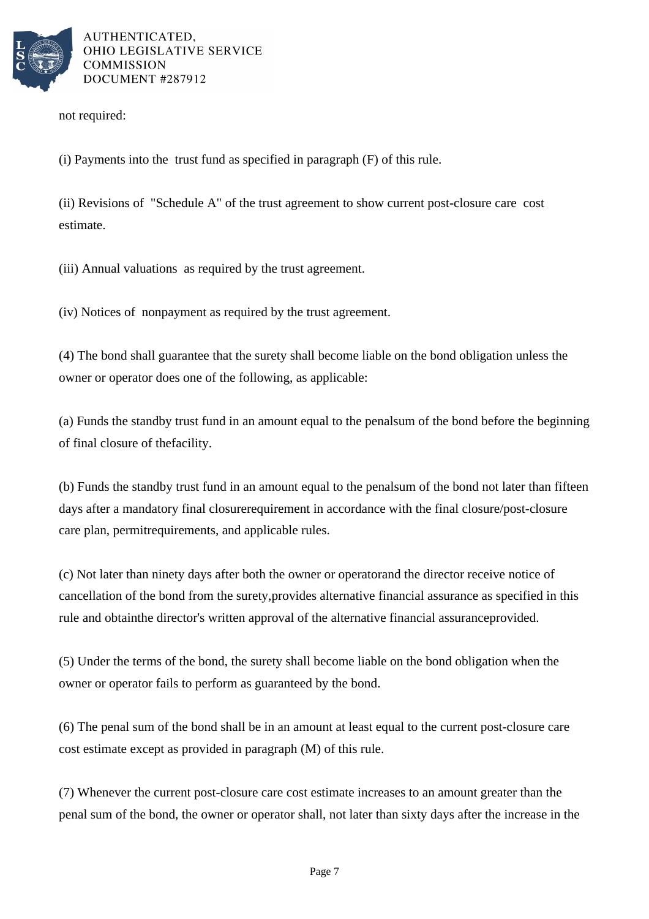

not required:

(i) Payments into the trust fund as specified in paragraph  $(F)$  of this rule.

(ii) Revisions of "Schedule A" of the trust agreement to show current post-closure care cost estimate.

(iii) Annual valuations as required by the trust agreement.

(iv) Notices of nonpayment as required by the trust agreement.

(4) The bond shall guarantee that the surety shall become liable on the bond obligation unless the owner or operator does one of the following, as applicable:

(a) Funds the standby trust fund in an amount equal to the penal sum of the bond before the beginning of final closure of the facility.

(b) Funds the standby trust fund in an amount equal to the penal sum of the bond not later than fifteen days after a mandatory final closure requirement in accordance with the final closure/post-closure care plan, permit requirements, and applicable rules.

(c) Not later than ninety days after both the owner or operator and the director receive notice of cancellation of the bond from the surety, provides alternative financial assurance as specified in this rule and obtain the director's written approval of the alternative financial assurance provided.

(5) Under the terms of the bond, the surety shall become liable on the bond obligation when the owner or operator fails to perform as guaranteed by the bond.

(6) The penal sum of the bond shall be in an amount at least equal to the current post-closure care cost estimate except as provided in paragraph (M) of this rule.

(7) Whenever the current post-closure care cost estimate increases to an amount greater than the penal sum of the bond, the owner or operator shall, not later than sixty days after the increase in the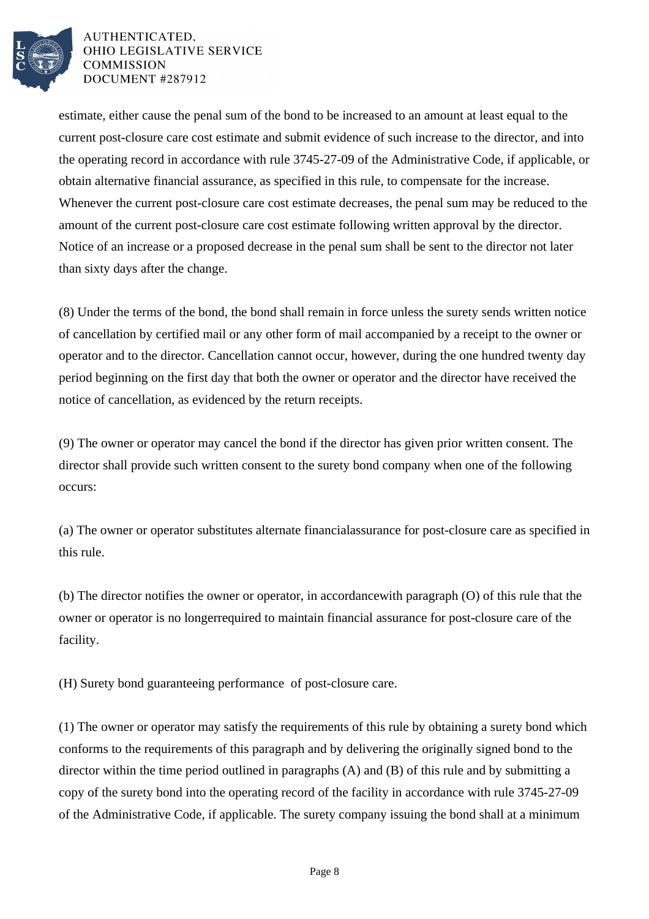

estimate, either cause the penal sum of the bond to be increased to an amount at least equal to the current post-closure care cost estimate and submit evidence of such increase to the director, and into the operating record in accordance with rule 3745-27-09 of the Administrative Code, if applicable, or obtain alternative financial assurance, as specified in this rule, to compensate for the increase. Whenever the current post-closure care cost estimate decreases, the penal sum may be reduced to the amount of the current post-closure care cost estimate following written approval by the director. Notice of an increase or a proposed decrease in the penal sum shall be sent to the director not later than sixty days after the change.

(8) Under the terms of the bond, the bond shall remain in force unless the surety sends written notice of cancellation by certified mail or any other form of mail accompanied by a receipt to the owner or operator and to the director. Cancellation cannot occur, however, during the one hundred twenty day period beginning on the first day that both the owner or operator and the director have received the notice of cancellation, as evidenced by the return receipts.

(9) The owner or operator may cancel the bond if the director has given prior written consent. The director shall provide such written consent to the surety bond company when one of the following occurs:

(a) The owner or operator substitutes alternate financial assurance for post-closure care as specified in this rule.

(b) The director notifies the owner or operator, in accordance with paragraph (O) of this rule that the owner or operator is no longer required to maintain financial assurance for post-closure care of the facility.

(H) Surety bond guaranteeing performance of post-closure care.

(1) The owner or operator may satisfy the requirements of this rule by obtaining a surety bond which conforms to the requirements of this paragraph and by delivering the originally signed bond to the director within the time period outlined in paragraphs  $(A)$  and  $(B)$  of this rule and by submitting a copy of the surety bond into the operating record of the facility in accordance with rule 3745-27-09 of the Administrative Code, if applicable. The surety company issuing the bond shall at a minimum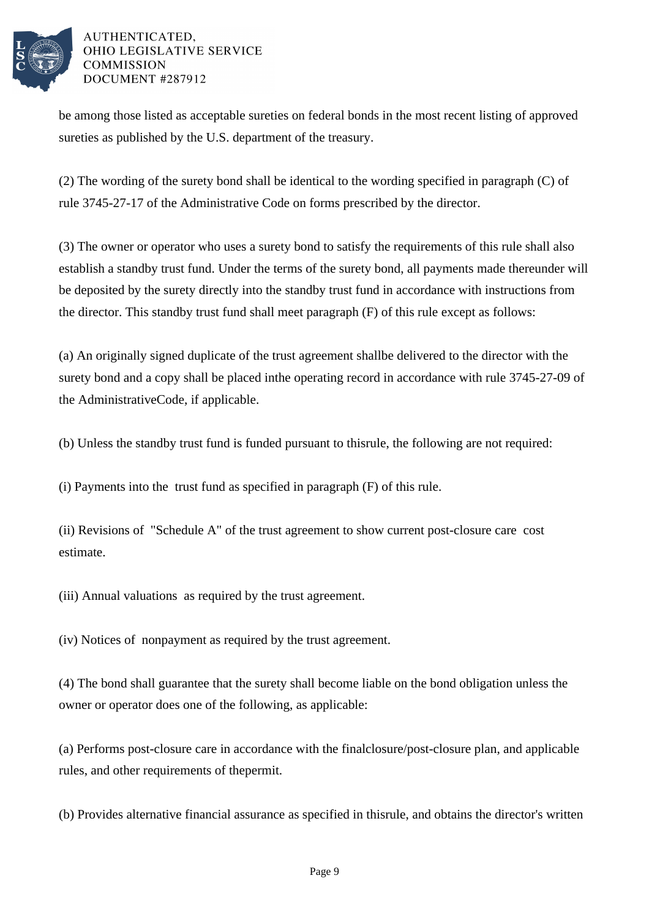

be among those listed as acceptable sureties on federal bonds in the most recent listing of approved sureties as published by the U.S. department of the treasury.

(2) The wording of the surety bond shall be identical to the wording specified in paragraph  $(C)$  of rule 3745-27-17 of the Administrative Code on forms prescribed by the director.

(3) The owner or operator who uses a surety bond to satisfy the requirements of this rule shall also establish a standby trust fund. Under the terms of the surety bond, all payments made thereunder will be deposited by the surety directly into the standby trust fund in accordance with instructions from the director. This standby trust fund shall meet paragraph  $(F)$  of this rule except as follows:

(a) An originally signed duplicate of the trust agreement shall be delivered to the director with the surety bond and a copy shall be placed in the operating record in accordance with rule 3745-27-09 of the Administrative Code, if applicable.

(b) Unless the standby trust fund is funded pursuant to this rule, the following are not required:

 $(i)$  Payments into the trust fund as specified in paragraph  $(F)$  of this rule.

(ii) Revisions of "Schedule A" of the trust agreement to show current post-closure care cost estimate.

(iii) Annual valuations as required by the trust agreement.

(iv) Notices of nonpayment as required by the trust agreement.

(4) The bond shall guarantee that the surety shall become liable on the bond obligation unless the owner or operator does one of the following, as applicable:

(a) Performs post-closure care in accordance with the final closure/post-closure plan, and applicable rules, and other requirements of the permit.

(b) Provides alternative financial assurance as specified in this rule, and obtains the director's written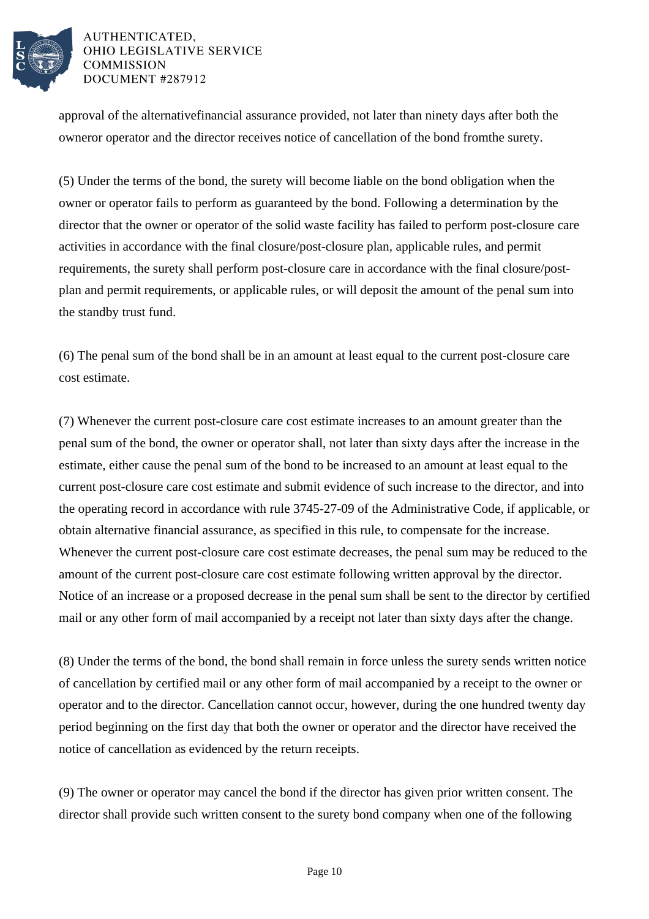

approval of the alternative financial assurance provided, not later than ninety days after both the owner or operator and the director receives notice of cancellation of the bond from the surety.

(5) Under the terms of the bond, the surety will become liable on the bond obligation when the owner or operator fails to perform as guaranteed by the bond. Following a determination by the director that the owner or operator of the solid waste facility has failed to perform post-closure care activities in accordance with the final closure/post-closure plan, applicable rules, and permit requirements, the surety shall perform post-closure care in accordance with the final closure/postplan and permit requirements, or applicable rules, or will deposit the amount of the penal sum into the standby trust fund.

(6) The penal sum of the bond shall be in an amount at least equal to the current post-closure care cost estimate.

(7) Whenever the current post-closure care cost estimate increases to an amount greater than the penal sum of the bond, the owner or operator shall, not later than sixty days after the increase in the estimate, either cause the penal sum of the bond to be increased to an amount at least equal to the current post-closure care cost estimate and submit evidence of such increase to the director, and into the operating record in accordance with rule 3745-27-09 of the Administrative Code, if applicable, or obtain alternative financial assurance, as specified in this rule, to compensate for the increase. Whenever the current post-closure care cost estimate decreases, the penal sum may be reduced to the amount of the current post-closure care cost estimate following written approval by the director. Notice of an increase or a proposed decrease in the penal sum shall be sent to the director by certified mail or any other form of mail accompanied by a receipt not later than sixty days after the change.

(8) Under the terms of the bond, the bond shall remain in force unless the surety sends written notice of cancellation by certified mail or any other form of mail accompanied by a receipt to the owner or operator and to the director. Cancellation cannot occur, however, during the one hundred twenty day period beginning on the first day that both the owner or operator and the director have received the notice of cancellation as evidenced by the return receipts.

(9) The owner or operator may cancel the bond if the director has given prior written consent. The director shall provide such written consent to the surety bond company when one of the following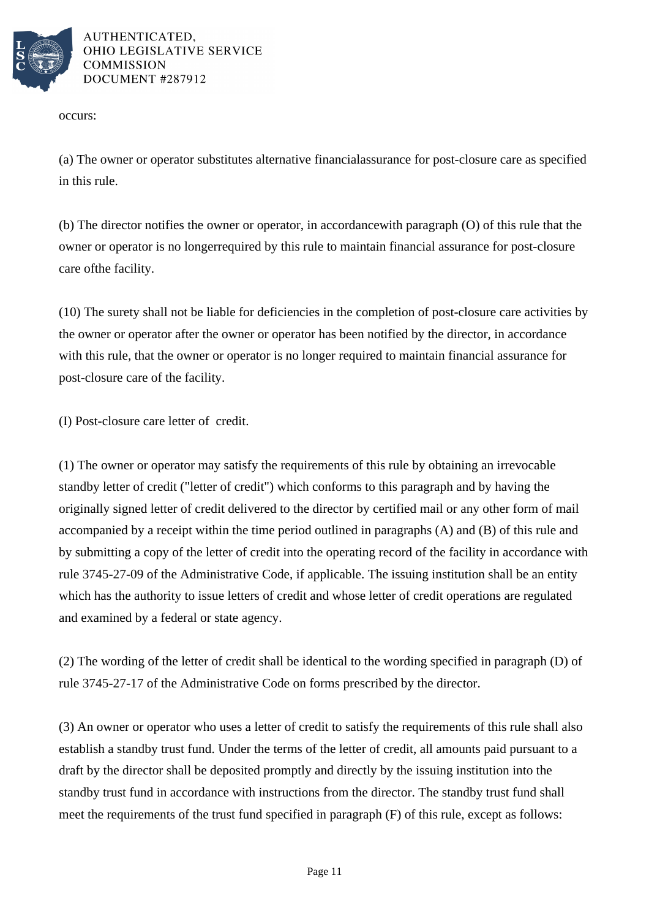

occurs:

(a) The owner or operator substitutes alternative financial assurance for post-closure care as specified in this rule.

(b) The director notifies the owner or operator, in accordance with paragraph  $(0)$  of this rule that the owner or operator is no longer required by this rule to maintain financial assurance for post-closure care of the facility.

(10) The surety shall not be liable for deficiencies in the completion of post-closure care activities by the owner or operator after the owner or operator has been notified by the director, in accordance with this rule, that the owner or operator is no longer required to maintain financial assurance for post-closure care of the facility.

(I) Post-closure care letter of credit.

(1) The owner or operator may satisfy the requirements of this rule by obtaining an irrevocable standby letter of credit ("letter of credit") which conforms to this paragraph and by having the originally signed letter of credit delivered to the director by certified mail or any other form of mail accompanied by a receipt within the time period outlined in paragraphs (A) and (B) of this rule and by submitting a copy of the letter of credit into the operating record of the facility in accordance with rule 3745-27-09 of the Administrative Code, if applicable. The issuing institution shall be an entity which has the authority to issue letters of credit and whose letter of credit operations are regulated and examined by a federal or state agency.

(2) The wording of the letter of credit shall be identical to the wording specified in paragraph (D) of rule 3745-27-17 of the Administrative Code on forms prescribed by the director.

(3) An owner or operator who uses a letter of credit to satisfy the requirements of this rule shall also establish a standby trust fund. Under the terms of the letter of credit, all amounts paid pursuant to a draft by the director shall be deposited promptly and directly by the issuing institution into the standby trust fund in accordance with instructions from the director. The standby trust fund shall meet the requirements of the trust fund specified in paragraph (F) of this rule, except as follows: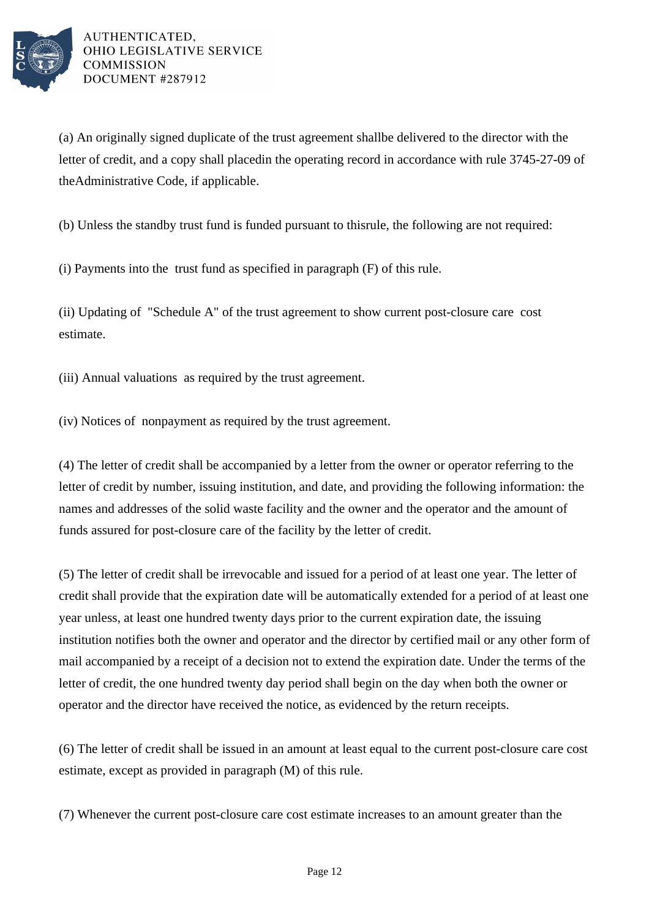

(a) An originally signed duplicate of the trust agreement shall be delivered to the director with the letter of credit, and a copy shall placed in the operating record in accordance with rule 3745-27-09 of the Administrative Code, if applicable.

(b) Unless the standby trust fund is funded pursuant to this rule, the following are not required:

(i) Payments into the trust fund as specified in paragraph  $(F)$  of this rule.

(ii) Updating of "Schedule A" of the trust agreement to show current post-closure care cost estimate.

(iii) Annual valuations as required by the trust agreement.

(iv) Notices of nonpayment as required by the trust agreement.

(4) The letter of credit shall be accompanied by a letter from the owner or operator referring to the letter of credit by number, issuing institution, and date, and providing the following information: the names and addresses of the solid waste facility and the owner and the operator and the amount of funds assured for post-closure care of the facility by the letter of credit.

(5) The letter of credit shall be irrevocable and issued for a period of at least one year. The letter of credit shall provide that the expiration date will be automatically extended for a period of at least one year unless, at least one hundred twenty days prior to the current expiration date, the issuing institution notifies both the owner and operator and the director by certified mail or any other form of mail accompanied by a receipt of a decision not to extend the expiration date. Under the terms of the letter of credit, the one hundred twenty day period shall begin on the day when both the owner or operator and the director have received the notice, as evidenced by the return receipts.

(6) The letter of credit shall be issued in an amount at least equal to the current post-closure care cost estimate, except as provided in paragraph (M) of this rule.

(7) Whenever the current post-closure care cost estimate increases to an amount greater than the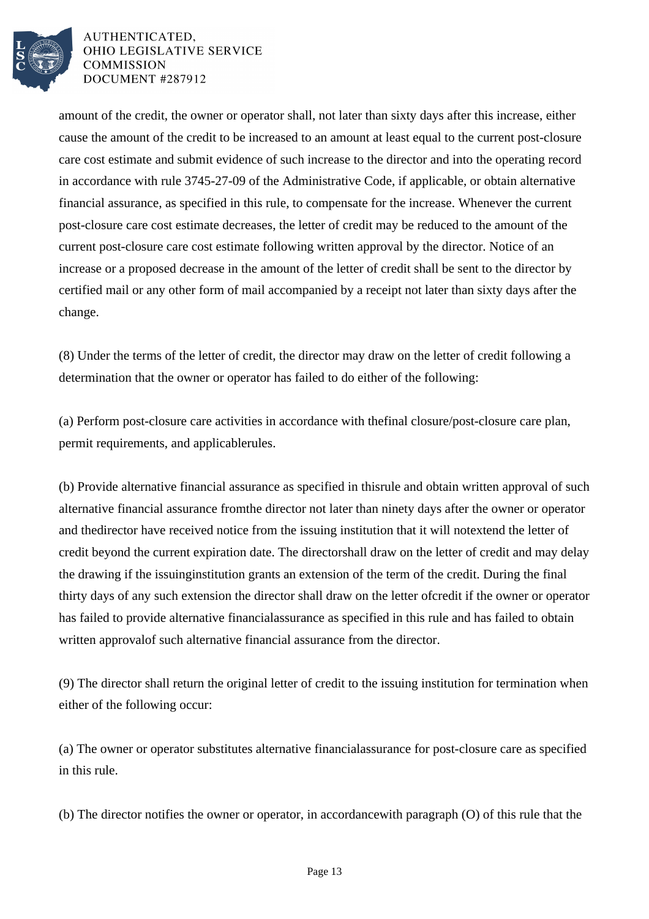

amount of the credit, the owner or operator shall, not later than sixty days after this increase, either cause the amount of the credit to be increased to an amount at least equal to the current post-closure care cost estimate and submit evidence of such increase to the director and into the operating record in accordance with rule 3745-27-09 of the Administrative Code, if applicable, or obtain alternative financial assurance, as specified in this rule, to compensate for the increase. Whenever the current post-closure care cost estimate decreases, the letter of credit may be reduced to the amount of the current post-closure care cost estimate following written approval by the director. Notice of an increase or a proposed decrease in the amount of the letter of credit shall be sent to the director by certified mail or any other form of mail accompanied by a receipt not later than sixty days after the change.

(8) Under the terms of the letter of credit, the director may draw on the letter of credit following a determination that the owner or operator has failed to do either of the following:

(a) Perform post-closure care activities in accordance with the final closure/post-closure care plan, permit requirements, and applicable rules.

(b) Provide alternative financial assurance as specified in this rule and obtain written approval of such alternative financial assurance from the director not later than ninety days after the owner or operator and the director have received notice from the issuing institution that it will not extend the letter of credit beyond the current expiration date. The director shall draw on the letter of credit and may delay the drawing if the issuing institution grants an extension of the term of the credit. During the final thirty days of any such extension the director shall draw on the letter of credit if the owner or operator has failed to provide alternative financial assurance as specified in this rule and has failed to obtain written approval of such alternative financial assurance from the director.

(9) The director shall return the original letter of credit to the issuing institution for termination when either of the following occur:

(a) The owner or operator substitutes alternative financial assurance for post-closure care as specified in this rule.

(b) The director notifies the owner or operator, in accordance with paragraph  $(0)$  of this rule that the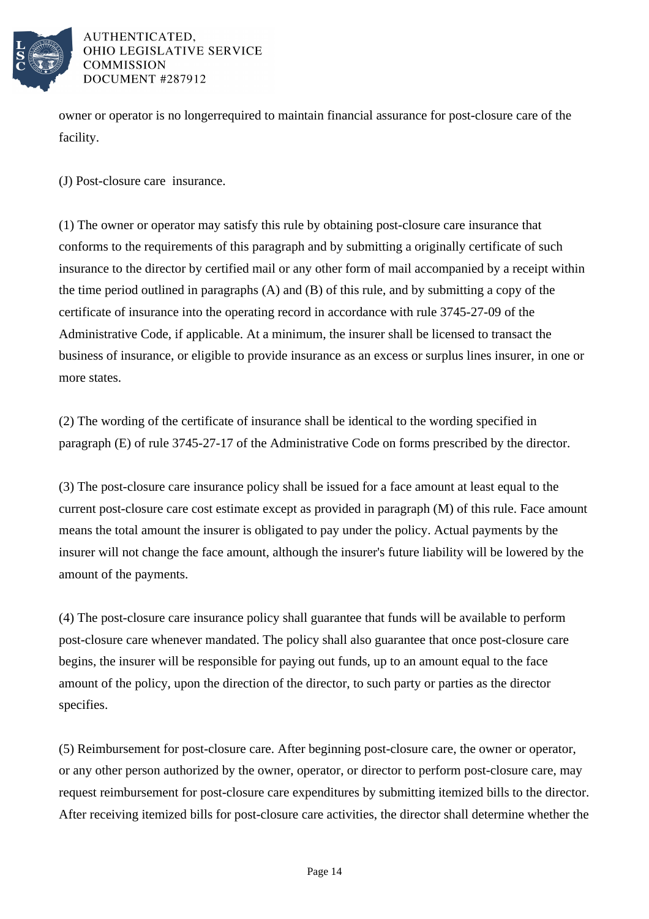

owner or operator is no longer required to maintain financial assurance for post-closure care of the facility.

(J) Post-closure care insurance.

(1) The owner or operator may satisfy this rule by obtaining post-closure care insurance that conforms to the requirements of this paragraph and by submitting a originally certificate of such insurance to the director by certified mail or any other form of mail accompanied by a receipt within the time period outlined in paragraphs  $(A)$  and  $(B)$  of this rule, and by submitting a copy of the certificate of insurance into the operating record in accordance with rule 3745-27-09 of the Administrative Code, if applicable. At a minimum, the insurer shall be licensed to transact the business of insurance, or eligible to provide insurance as an excess or surplus lines insurer, in one or more states.

(2) The wording of the certificate of insurance shall be identical to the wording specified in paragraph (E) of rule 3745-27-17 of the Administrative Code on forms prescribed by the director.

(3) The post-closure care insurance policy shall be issued for a face amount at least equal to the current post-closure care cost estimate except as provided in paragraph (M) of this rule. Face amount means the total amount the insurer is obligated to pay under the policy. Actual payments by the insurer will not change the face amount, although the insurer's future liability will be lowered by the amount of the payments.

(4) The post-closure care insurance policy shall guarantee that funds will be available to perform post-closure care whenever mandated. The policy shall also guarantee that once post-closure care begins, the insurer will be responsible for paying out funds, up to an amount equal to the face amount of the policy, upon the direction of the director, to such party or parties as the director specifies.

(5) Reimbursement for post-closure care. After beginning post-closure care, the owner or operator, or any other person authorized by the owner, operator, or director to perform post-closure care, may request reimbursement for post-closure care expenditures by submitting itemized bills to the director. After receiving itemized bills for post-closure care activities, the director shall determine whether the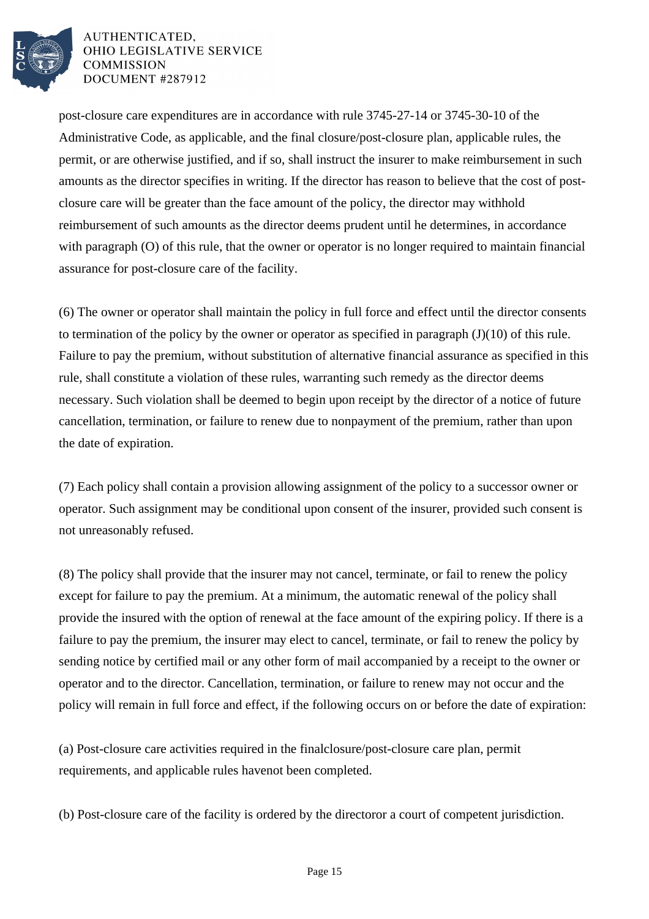

post-closure care expenditures are in accordance with rule 3745-27-14 or 3745-30-10 of the Administrative Code, as applicable, and the final closure/post-closure plan, applicable rules, the permit, or are otherwise justified, and if so, shall instruct the insurer to make reimbursement in such amounts as the director specifies in writing. If the director has reason to believe that the cost of postclosure care will be greater than the face amount of the policy, the director may withhold reimbursement of such amounts as the director deems prudent until he determines, in accordance with paragraph  $(0)$  of this rule, that the owner or operator is no longer required to maintain financial assurance for post-closure care of the facility.

(6) The owner or operator shall maintain the policy in full force and effect until the director consents to termination of the policy by the owner or operator as specified in paragraph  $(J)(10)$  of this rule. Failure to pay the premium, without substitution of alternative financial assurance as specified in this rule, shall constitute a violation of these rules, warranting such remedy as the director deems necessary. Such violation shall be deemed to begin upon receipt by the director of a notice of future cancellation, termination, or failure to renew due to nonpayment of the premium, rather than upon the date of expiration.

(7) Each policy shall contain a provision allowing assignment of the policy to a successor owner or operator. Such assignment may be conditional upon consent of the insurer, provided such consent is not unreasonably refused.

(8) The policy shall provide that the insurer may not cancel, terminate, or fail to renew the policy except for failure to pay the premium. At a minimum, the automatic renewal of the policy shall provide the insured with the option of renewal at the face amount of the expiring policy. If there is a failure to pay the premium, the insurer may elect to cancel, terminate, or fail to renew the policy by sending notice by certified mail or any other form of mail accompanied by a receipt to the owner or operator and to the director. Cancellation, termination, or failure to renew may not occur and the policy will remain in full force and effect, if the following occurs on or before the date of expiration:

(a) Post-closure care activities required in the final closure/post-closure care plan, permit requirements, and applicable rules have not been completed.

(b) Post-closure care of the facility is ordered by the director or a court of competent jurisdiction.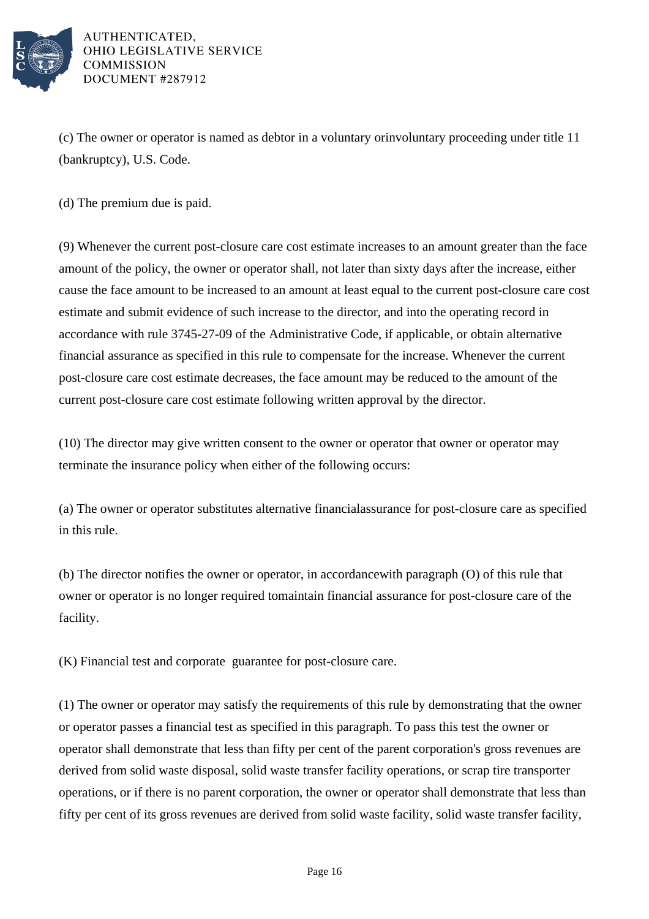

(c) The owner or operator is named as debtor in a voluntary or involuntary proceeding under title 11 (bankruptcy), U.S. Code.

(d) The premium due is paid.

(9) Whenever the current post-closure care cost estimate increases to an amount greater than the face amount of the policy, the owner or operator shall, not later than sixty days after the increase, either cause the face amount to be increased to an amount at least equal to the current post-closure care cost estimate and submit evidence of such increase to the director, and into the operating record in accordance with rule 3745-27-09 of the Administrative Code, if applicable, or obtain alternative financial assurance as specified in this rule to compensate for the increase. Whenever the current post-closure care cost estimate decreases, the face amount may be reduced to the amount of the current post-closure care cost estimate following written approval by the director.

(10) The director may give written consent to the owner or operator that owner or operator may terminate the insurance policy when either of the following occurs:

(a) The owner or operator substitutes alternative financial assurance for post-closure care as specified in this rule.

(b) The director notifies the owner or operator, in accordance with paragraph (O) of this rule that owner or operator is no longer required to maintain financial assurance for post-closure care of the facility.

(K) Financial test and corporate guarantee for post-closure care.

(1) The owner or operator may satisfy the requirements of this rule by demonstrating that the owner or operator passes a financial test as specified in this paragraph. To pass this test the owner or operator shall demonstrate that less than fifty per cent of the parent corporation's gross revenues are derived from solid waste disposal, solid waste transfer facility operations, or scrap tire transporter operations, or if there is no parent corporation, the owner or operator shall demonstrate that less than fifty per cent of its gross revenues are derived from solid waste facility, solid waste transfer facility,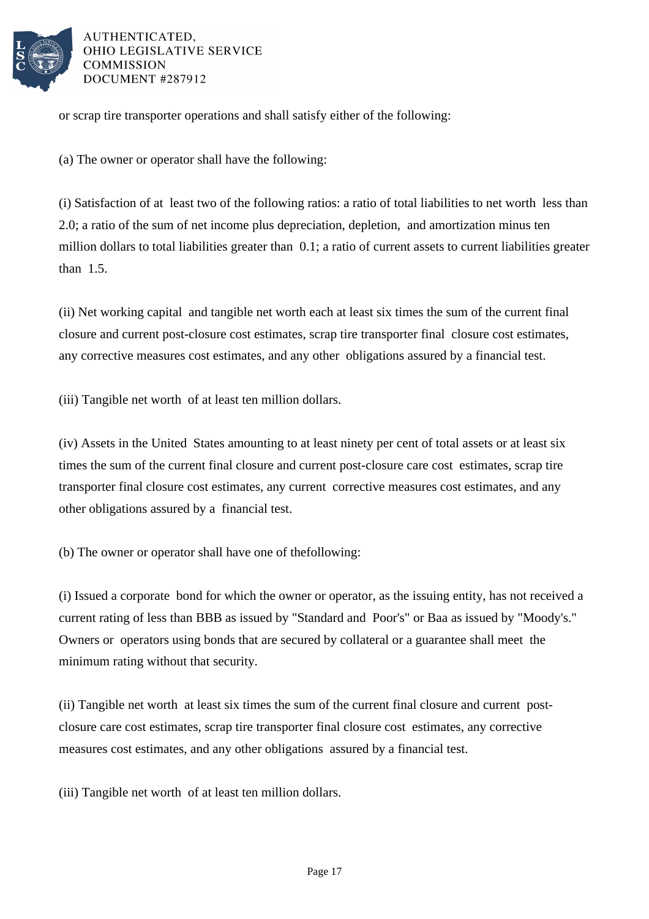

or scrap tire transporter operations and shall satisfy either of the following:

(a) The owner or operator shall have the following:

(i) Satisfaction of at least two of the following ratios: a ratio of total liabilities to net worth less than 2.0; a ratio of the sum of net income plus depreciation, depletion, and amortization minus ten million dollars to total liabilities greater than  $\,$  0.1; a ratio of current assets to current liabilities greater than  $1.5.$ 

(ii) Net working capital and tangible net worth each at least six times the sum of the current final closure and current post-closure cost estimates, scrap tire transporter final closure cost estimates, any corrective measures cost estimates, and any other obligations assured by a financial test.

(iii) Tangible net worth of at least ten million dollars.

(iv) Assets in the United States amounting to at least ninety per cent of total assets or at least six times the sum of the current final closure and current post-closure care cost estimates, scrap tire transporter final closure cost estimates, any current corrective measures cost estimates, and any other obligations assured by a financial test.

(b) The owner or operator shall have one of the following:

(i) Issued a corporate bond for which the owner or operator, as the issuing entity, has not received a current rating of less than BBB as issued by "Standard and Poor's" or Baa as issued by "Moody's." Owners or operators using bonds that are secured by collateral or a guarantee shall meet the minimum rating without that security.

(ii) Tangible net worth at least six times the sum of the current final closure and current postclosure care cost estimates, scrap tire transporter final closure cost estimates, any corrective measures cost estimates, and any other obligations assured by a financial test.

(iii) Tangible net worth of at least ten million dollars.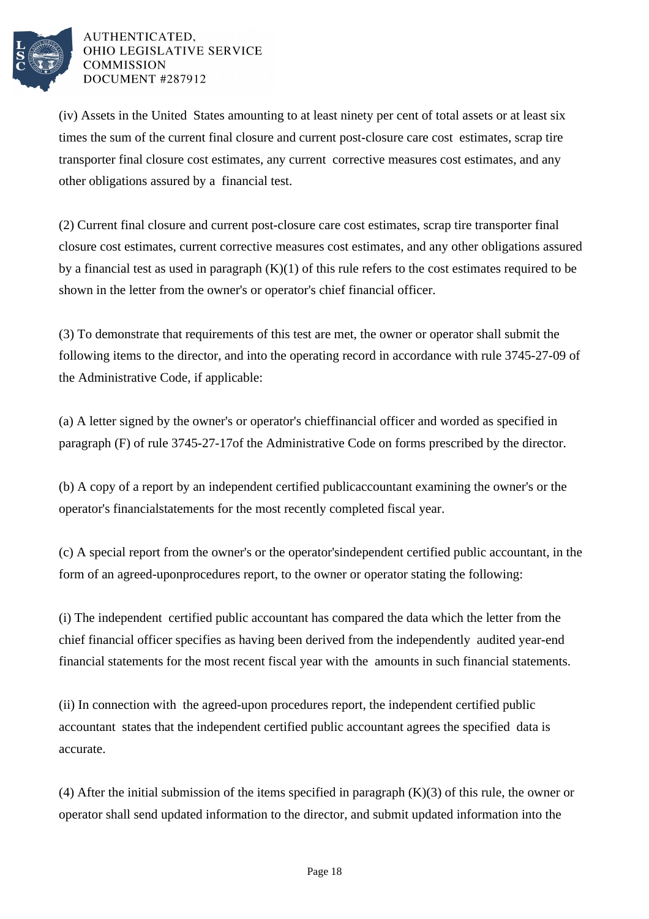

(iv) Assets in the United States amounting to at least ninety per cent of total assets or at least six times the sum of the current final closure and current post-closure care cost estimates, scrap tire transporter final closure cost estimates, any current corrective measures cost estimates, and any other obligations assured by a financial test.

(2) Current final closure and current post-closure care cost estimates, scrap tire transporter final closure cost estimates, current corrective measures cost estimates, and any other obligations assured by a financial test as used in paragraph  $(K)(1)$  of this rule refers to the cost estimates required to be shown in the letter from the owner's or operator's chief financial officer.

(3) To demonstrate that requirements of this test are met, the owner or operator shall submit the following items to the director, and into the operating record in accordance with rule 3745-27-09 of the Administrative Code, if applicable:

(a) A letter signed by the owner's or operator's chief financial officer and worded as specified in paragraph (F) of rule 3745-27-17 of the Administrative Code on forms prescribed by the director.

(b) A copy of a report by an independent certified public accountant examining the owner's or the operator's financial statements for the most recently completed fiscal year.

(c) A special report from the owner's or the operator's independent certified public accountant, in the form of an agreed-upon procedures report, to the owner or operator stating the following:

(i) The independent certified public accountant has compared the data which the letter from the chief financial officer specifies as having been derived from the independently audited year-end financial statements for the most recent fiscal year with the amounts in such financial statements.

(ii) In connection with the agreed-upon procedures report, the independent certified public accountant states that the independent certified public accountant agrees the specified data is accurate.

(4) After the initial submission of the items specified in paragraph  $(K)(3)$  of this rule, the owner or operator shall send updated information to the director, and submit updated information into the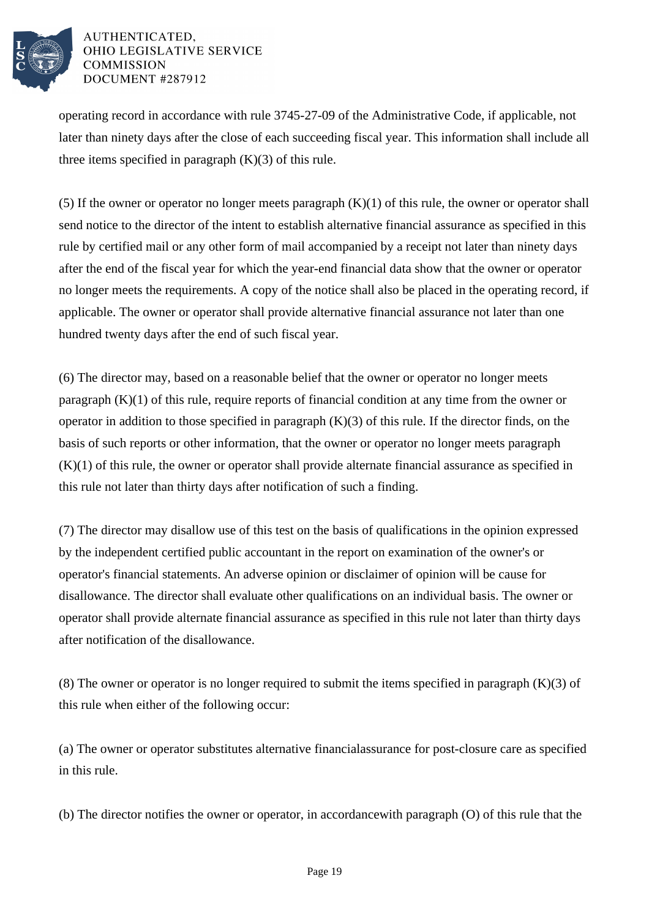

operating record in accordance with rule 3745-27-09 of the Administrative Code, if applicable, not later than ninety days after the close of each succeeding fiscal year. This information shall include all three items specified in paragraph  $(K)(3)$  of this rule.

(5) If the owner or operator no longer meets paragraph  $(K)(1)$  of this rule, the owner or operator shall send notice to the director of the intent to establish alternative financial assurance as specified in this rule by certified mail or any other form of mail accompanied by a receipt not later than ninety days after the end of the fiscal year for which the year-end financial data show that the owner or operator no longer meets the requirements. A copy of the notice shall also be placed in the operating record, if applicable. The owner or operator shall provide alternative financial assurance not later than one hundred twenty days after the end of such fiscal year.

(6) The director may, based on a reasonable belief that the owner or operator no longer meets paragraph  $(K)(1)$  of this rule, require reports of financial condition at any time from the owner or operator in addition to those specified in paragraph  $(K)(3)$  of this rule. If the director finds, on the basis of such reports or other information, that the owner or operator no longer meets paragraph  $(K)(1)$  of this rule, the owner or operator shall provide alternate financial assurance as specified in this rule not later than thirty days after notification of such a finding.

(7) The director may disallow use of this test on the basis of qualifications in the opinion expressed by the independent certified public accountant in the report on examination of the owner's or operator's financial statements. An adverse opinion or disclaimer of opinion will be cause for disallowance. The director shall evaluate other qualifications on an individual basis. The owner or operator shall provide alternate financial assurance as specified in this rule not later than thirty days after notification of the disallowance.

(8) The owner or operator is no longer required to submit the items specified in paragraph  $(K)(3)$  of this rule when either of the following occur:

(a) The owner or operator substitutes alternative financial assurance for post-closure care as specified in this rule.

(b) The director notifies the owner or operator, in accordance with paragraph  $(0)$  of this rule that the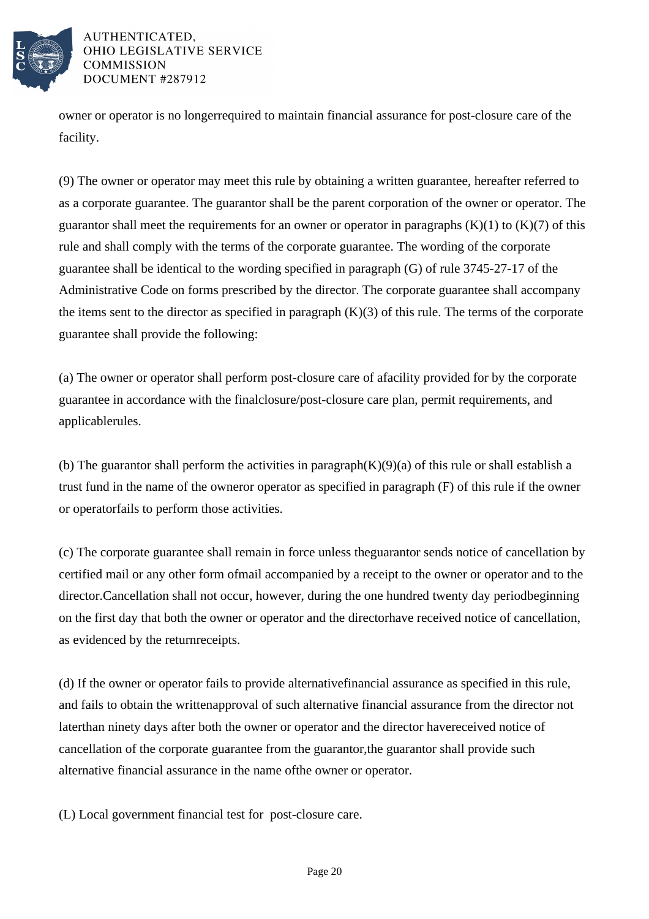

owner or operator is no longer required to maintain financial assurance for post-closure care of the facility.

(9) The owner or operator may meet this rule by obtaining a written guarantee, hereafter referred to as a corporate guarantee. The guarantor shall be the parent corporation of the owner or operator. The guarantor shall meet the requirements for an owner or operator in paragraphs  $(K)(1)$  to  $(K)(7)$  of this rule and shall comply with the terms of the corporate guarantee. The wording of the corporate guarantee shall be identical to the wording specified in paragraph  $(G)$  of rule 3745-27-17 of the Administrative Code on forms prescribed by the director. The corporate guarantee shall accompany the items sent to the director as specified in paragraph  $(K)(3)$  of this rule. The terms of the corporate guarantee shall provide the following:

(a) The owner or operator shall perform post-closure care of a facility provided for by the corporate guarantee in accordance with the final closure/post-closure care plan, permit requirements, and applicable rules.

(b) The guarantor shall perform the activities in paragraph  $(K)(9)(a)$  of this rule or shall establish a trust fund in the name of the owner or operator as specified in paragraph  $(F)$  of this rule if the owner or operator fails to perform those activities.

(c) The corporate guarantee shall remain in force unless the guarantor sends notice of cancellation by certified mail or any other form of mail accompanied by a receipt to the owner or operator and to the director. Cancellation shall not occur, however, during the one hundred twenty day period beginning on the first day that both the owner or operator and the director have received notice of cancellation, as evidenced by the return receipts.

(d) If the owner or operator fails to provide alternative financial assurance as specified in this rule, and fails to obtain the written approval of such alternative financial assurance from the director not later than ninety days after both the owner or operator and the director have received notice of cancellation of the corporate guarantee from the guarantor, the guarantor shall provide such alternative financial assurance in the name of the owner or operator.

(L) Local government financial test for post-closure care.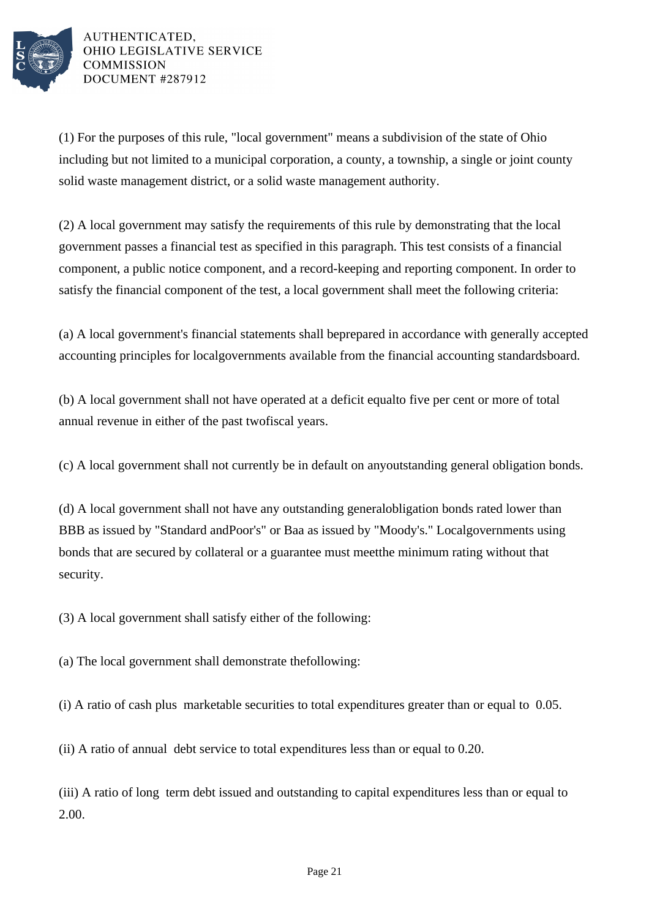

 $(1)$  For the purposes of this rule, "local government" means a subdivision of the state of Ohio including but not limited to a municipal corporation, a county, a township, a single or joint county solid waste management district, or a solid waste management authority.

(2) A local government may satisfy the requirements of this rule by demonstrating that the local government passes a financial test as specified in this paragraph. This test consists of a financial component, a public notice component, and a record-keeping and reporting component. In order to satisfy the financial component of the test, a local government shall meet the following criteria:

(a) A local government's financial statements shall be prepared in accordance with generally accepted accounting principles for local governments available from the financial accounting standards board.

(b) A local government shall not have operated at a deficit equal to five per cent or more of total annual revenue in either of the past two fiscal years.

(c) A local government shall not currently be in default on any outstanding general obligation bonds.

(d) A local government shall not have any outstanding general obligation bonds rated lower than BBB as issued by "Standard and Poor's" or Baa as issued by "Moody's." Local governments using bonds that are secured by collateral or a guarantee must meet the minimum rating without that security.

 $(3)$  A local government shall satisfy either of the following:

(a) The local government shall demonstrate the following:

(i) A ratio of cash plus marketable securities to total expenditures greater than or equal to  $0.05$ .

(ii) A ratio of annual debt service to total expenditures less than or equal to 0.20.

(iii) A ratio of long term debt issued and outstanding to capital expenditures less than or equal to 2.00.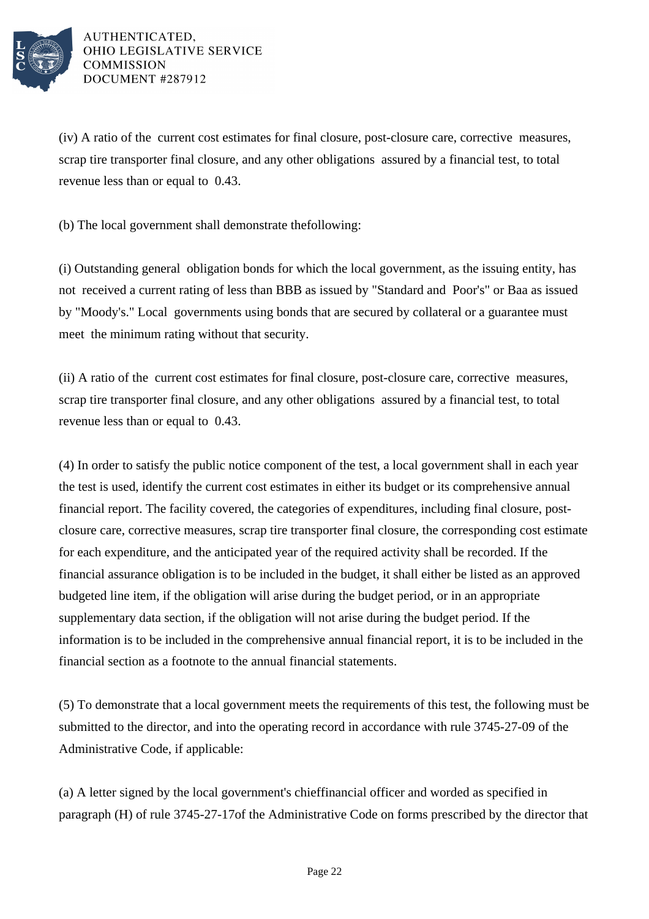

 $(iv)$  A ratio of the current cost estimates for final closure, post-closure care, corrective measures, scrap tire transporter final closure, and any other obligations assured by a financial test, to total revenue less than or equal to  $0.43$ .

(b) The local government shall demonstrate the following:

(i) Outstanding general obligation bonds for which the local government, as the issuing entity, has not received a current rating of less than BBB as issued by "Standard and Poor's" or Baa as issued by "Moody's." Local governments using bonds that are secured by collateral or a guarantee must meet the minimum rating without that security.

(ii) A ratio of the current cost estimates for final closure, post-closure care, corrective measures, scrap tire transporter final closure, and any other obligations assured by a financial test, to total revenue less than or equal to  $0.43$ .

(4) In order to satisfy the public notice component of the test, a local government shall in each year the test is used, identify the current cost estimates in either its budget or its comprehensive annual financial report. The facility covered, the categories of expenditures, including final closure, postclosure care, corrective measures, scrap tire transporter final closure, the corresponding cost estimate for each expenditure, and the anticipated year of the required activity shall be recorded. If the financial assurance obligation is to be included in the budget, it shall either be listed as an approved budgeted line item, if the obligation will arise during the budget period, or in an appropriate supplementary data section, if the obligation will not arise during the budget period. If the information is to be included in the comprehensive annual financial report, it is to be included in the financial section as a footnote to the annual financial statements.

(5) To demonstrate that a local government meets the requirements of this test, the following must be submitted to the director, and into the operating record in accordance with rule 3745-27-09 of the Administrative Code, if applicable:

(a) A letter signed by the local government's chief financial officer and worded as specified in paragraph (H) of rule 3745-27-17 of the Administrative Code on forms prescribed by the director that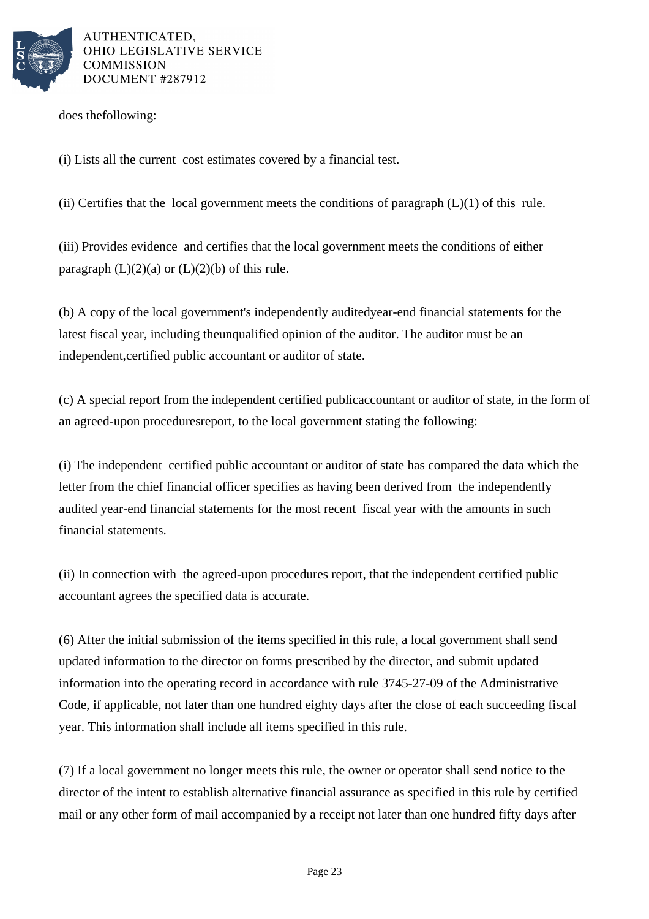

does the following:

(i) Lists all the current cost estimates covered by a financial test.

(ii) Certifies that the local government meets the conditions of paragraph  $(L)(1)$  of this rule.

(iii) Provides evidence and certifies that the local government meets the conditions of either paragraph  $(L)(2)(a)$  or  $(L)(2)(b)$  of this rule.

(b) A copy of the local government's independently audited year-end financial statements for the latest fiscal year, including the unqualified opinion of the auditor. The auditor must be an independent, certified public accountant or auditor of state.

(c) A special report from the independent certified public accountant or auditor of state, in the form of an agreed-upon procedures report, to the local government stating the following:

(i) The independent certified public accountant or auditor of state has compared the data which the letter from the chief financial officer specifies as having been derived from the independently audited year-end financial statements for the most recent fiscal year with the amounts in such financial statements.

(ii) In connection with the agreed-upon procedures report, that the independent certified public accountant agrees the specified data is accurate.

(6) After the initial submission of the items specified in this rule, a local government shall send updated information to the director on forms prescribed by the director, and submit updated information into the operating record in accordance with rule 3745-27-09 of the Administrative Code, if applicable, not later than one hundred eighty days after the close of each succeeding fiscal year. This information shall include all items specified in this rule.

(7) If a local government no longer meets this rule, the owner or operator shall send notice to the director of the intent to establish alternative financial assurance as specified in this rule by certified mail or any other form of mail accompanied by a receipt not later than one hundred fifty days after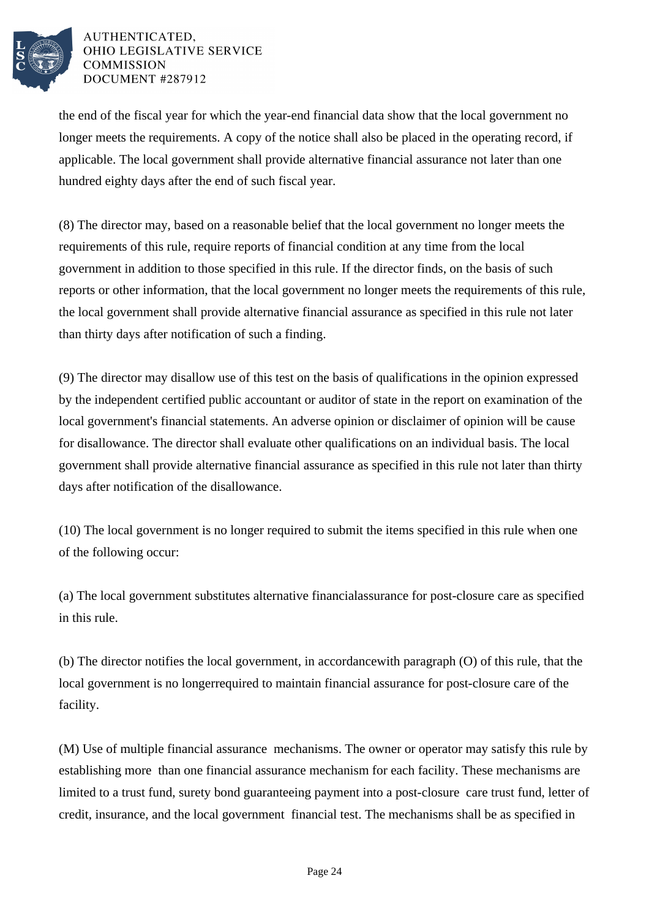

the end of the fiscal year for which the year-end financial data show that the local government no longer meets the requirements. A copy of the notice shall also be placed in the operating record, if applicable. The local government shall provide alternative financial assurance not later than one hundred eighty days after the end of such fiscal year.

(8) The director may, based on a reasonable belief that the local government no longer meets the requirements of this rule, require reports of financial condition at any time from the local government in addition to those specified in this rule. If the director finds, on the basis of such reports or other information, that the local government no longer meets the requirements of this rule, the local government shall provide alternative financial assurance as specified in this rule not later than thirty days after notification of such a finding.

(9) The director may disallow use of this test on the basis of qualifications in the opinion expressed by the independent certified public accountant or auditor of state in the report on examination of the local government's financial statements. An adverse opinion or disclaimer of opinion will be cause for disallowance. The director shall evaluate other qualifications on an individual basis. The local government shall provide alternative financial assurance as specified in this rule not later than thirty days after notification of the disallowance.

 $(10)$  The local government is no longer required to submit the items specified in this rule when one of the following occur:

(a) The local government substitutes alternative financial assurance for post-closure care as specified in this rule.

(b) The director notifies the local government, in accordance with paragraph  $(O)$  of this rule, that the local government is no longer required to maintain financial assurance for post-closure care of the facility.

(M) Use of multiple financial assurance mechanisms. The owner or operator may satisfy this rule by establishing more than one financial assurance mechanism for each facility. These mechanisms are limited to a trust fund, surety bond guaranteeing payment into a post-closure care trust fund, letter of credit, insurance, and the local government financial test. The mechanisms shall be as specified in